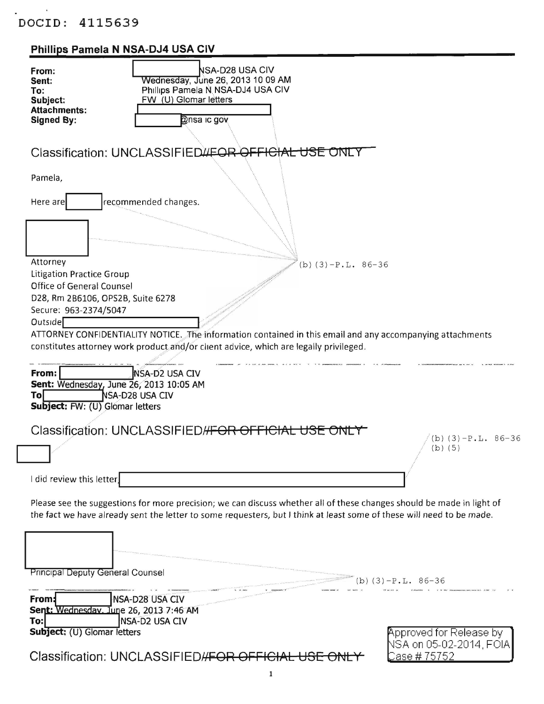$\tilde{\chi}$ 

## Phillips Pamela N NSA-DJ4 USA CIV

| From:<br>Sent:<br>To:<br>Subject:<br><b>Attachments:</b><br><b>Signed By:</b>                  | NSA-D28 USA CIV<br>Wednesday, June 26, 2013 10 09 AM<br>Phillips Pamela N NSA-DJ4 USA CIV<br>FW (U) Glomar letters<br><b>Onsa ic gov</b>                                                                                                       |                                                    |
|------------------------------------------------------------------------------------------------|------------------------------------------------------------------------------------------------------------------------------------------------------------------------------------------------------------------------------------------------|----------------------------------------------------|
|                                                                                                | Classification: UNCLASSIFIED WEOR OFFICIAL USE ONLY                                                                                                                                                                                            |                                                    |
| Pamela,<br>Here are                                                                            | recommended changes.                                                                                                                                                                                                                           |                                                    |
|                                                                                                |                                                                                                                                                                                                                                                |                                                    |
| Attorney<br><b>Litigation Practice Group</b>                                                   | $(b)$ (3) $-P.L. 86-36$                                                                                                                                                                                                                        |                                                    |
| <b>Office of General Counsel</b><br>D28, Rm 2B6106, OPS2B, Suite 6278<br>Secure: 963-2374/5047 |                                                                                                                                                                                                                                                |                                                    |
| Outside                                                                                        |                                                                                                                                                                                                                                                |                                                    |
|                                                                                                | ATTORNEY CONFIDENTIALITY NOTICE. The information contained in this email and any accompanying attachments<br>constitutes attorney work product and/or client advice, which are legally privileged.                                             |                                                    |
| From:<br>Tol<br>Subject: FW: (U) Glomar letters                                                | <b>NSA-D2 USA CIV</b><br>Sent: Wednesday, June 26, 2013 10:05 AM<br>NSA-D28 USA CIV                                                                                                                                                            |                                                    |
|                                                                                                | Classification: UNCLASSIFIED//FOR OFFICIAL USE ONLY                                                                                                                                                                                            | (b)(3)-P.L. 86-36<br>$(b)$ $(5)$                   |
| I did review this letter                                                                       |                                                                                                                                                                                                                                                |                                                    |
|                                                                                                | Please see the suggestions for more precision; we can discuss whether all of these changes should be made in light of<br>the fact we have already sent the letter to some requesters, but I think at least some of these will need to be made. |                                                    |
|                                                                                                |                                                                                                                                                                                                                                                |                                                    |
| <b>Principal Deputy General Counsel</b>                                                        | $(b)$ (3)                                                                                                                                                                                                                                      | $-P.L. 86-36$                                      |
| From:<br>Sent: Wednesdav. June 26, 2013 7:46 AM                                                | <b>NSA-D28 USA CIV</b>                                                                                                                                                                                                                         |                                                    |
| To:<br>Subject: (U) Glomar letters                                                             | NSA-D2 USA CIV                                                                                                                                                                                                                                 | Approved for Release by<br>NSA on 05-02-2014, FOIA |
|                                                                                                | Classification: UNCLASSIFIED//FOR OFFICIAL USE                                                                                                                                                                                                 | <u> Case # 75752</u>                               |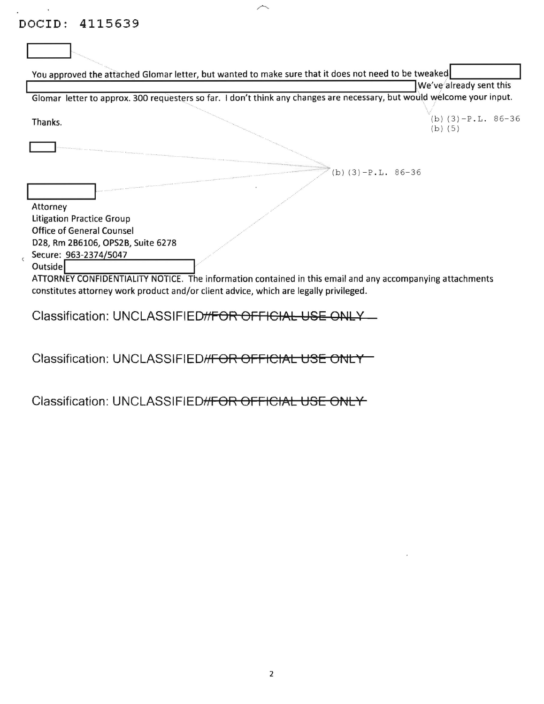. <br> <br> . <br> <br>  $\label{eq:3.1} \mathcal{L}_{\mathcal{M}_{\mathcal{M}_{\mathcal{M}_{\mathcal{M}_{\mathcal{M}_{\mathcal{M}_{\mathcal{M}_{\mathcal{M}_{\mathcal{M}_{\mathcal{M}_{\mathcal{M}_{\mathcal{M}_{\mathcal{M}_{\mathcal{M}_{\mathcal{M}_{\mathcal{M}_{\mathcal{M}_{\mathcal{M}_{\mathcal{M}_{\mathcal{M}_{\mathcal{M}_{\mathcal{M}_{\mathcal{M}_{\mathcal{M}_{\mathcal{M}_{\mathcal{M}_{\mathcal{M}_{\mathcal{M}_{\mathcal{M}}}}}}}}}}}}}$ 

| You approved the attached Glomar letter, but wanted to make sure that it does not need to be tweaked                                                                                               |                                                                                                                        |
|----------------------------------------------------------------------------------------------------------------------------------------------------------------------------------------------------|------------------------------------------------------------------------------------------------------------------------|
|                                                                                                                                                                                                    | We've already sent this                                                                                                |
|                                                                                                                                                                                                    | Glomar letter to approx. 300 requesters so far. I don't think any changes are necessary, but would welcome your input. |
| Thanks.                                                                                                                                                                                            | $(b)$ (3) $-P.L. 86-36$<br>$(b)$ (5)                                                                                   |
|                                                                                                                                                                                                    |                                                                                                                        |
|                                                                                                                                                                                                    | (b) $(3) - P.L. 86-36$                                                                                                 |
| Attorney                                                                                                                                                                                           |                                                                                                                        |
| <b>Litigation Practice Group</b>                                                                                                                                                                   |                                                                                                                        |
| <b>Office of General Counsel</b>                                                                                                                                                                   |                                                                                                                        |
| D28, Rm 2B6106, OPS2B, Suite 6278                                                                                                                                                                  |                                                                                                                        |
| Secure: 963-2374/5047<br><b>Outside</b>                                                                                                                                                            |                                                                                                                        |
| ATTORNEY CONFIDENTIALITY NOTICE. The information contained in this email and any accompanying attachments<br>constitutes attorney work product and/or client advice, which are legally privileged. |                                                                                                                        |

 $\curvearrowright$ 

Classification: UNCLASSIFIED//FOR OFFICIAL USE ONLY

Classification: UNCLASSIFIED//FOR OFFICIAL USE ONLY

Classification: UNCLASSIFIED#FOR OFFICIAL USE ONLY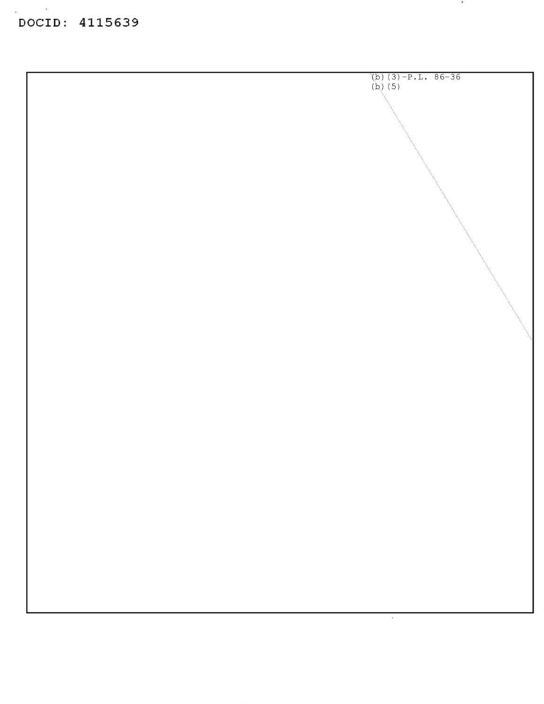$\mathbf{r}$ 

 $\bar{z}$ 



 $\mathcal{D}$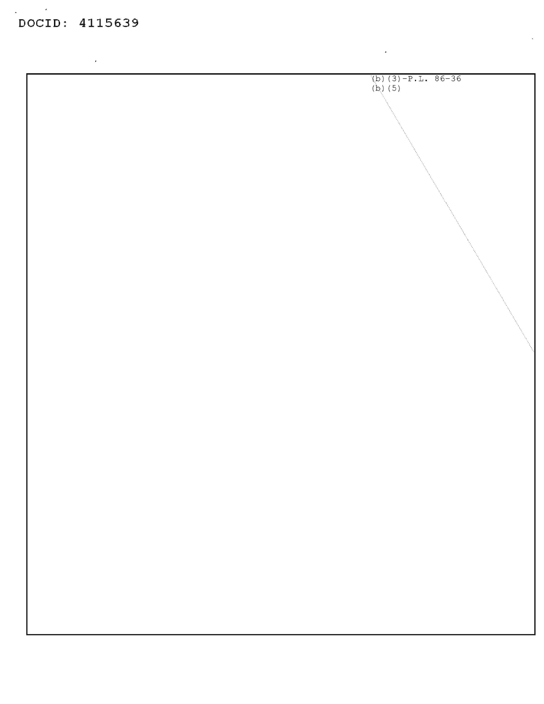$\mathbb{R}^d$ 

 $\hat{\mathbf{r}}$